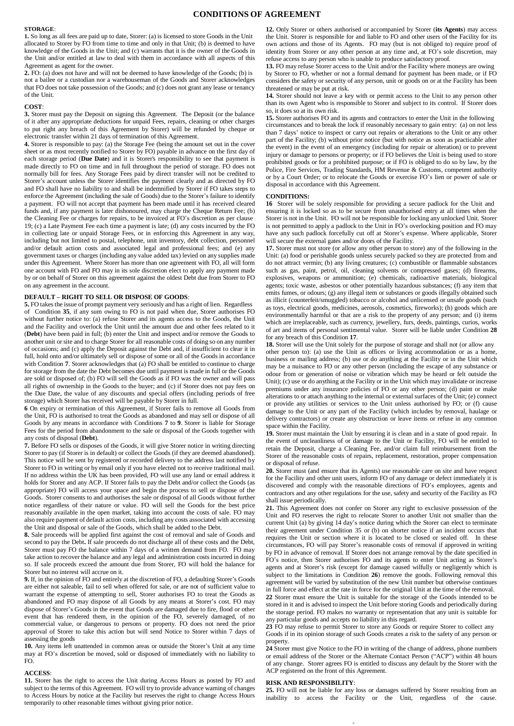# **CONDITIONS OF AGREEMENT**

#### **STORAGE**:

**1.** So long as all fees are paid up to date, Storer: (a) is licensed to store Goods in the Unit allocated to Storer by FO from time to time and only in that Unit; (b) is deemed to have knowledge of the Goods in the Unit; and (c) warrants that it is the owner of the Goods in the Unit and/or entitled at law to deal with them in accordance with all aspects of this Agreement as agent for the owner.

**2.** FO: (a) does not have and will not be deemed to have knowledge of the Goods; (b) is not a bailee or a custodian nor a warehouseman of the Goods and Storer acknowledges that FO does not take possession of the Goods; and (c) does not grant any lease or tenancy of the Unit.

### **COST**:

**3.** Storer must pay the Deposit on signing this Agreement. The Deposit (or the balance of it after any appropriate deductions for unpaid Fees, repairs, cleaning or other charges to put right any breach of this Agreement by Storer) will be refunded by cheque or electronic transfer within 21 days of termination of this Agreement.

**4.** Storer is responsible to pay: (a) the Storage Fee (being the amount set out in the cover sheet or as most recently notified to Storer by FO) payable in advance on the first day of each storage period (**Due Date**) and it is Storer's responsibility to see that payment is made directly to FO on time and in full throughout the period of storage. FO does not normally bill for fees. Any Storage Fees paid by direct transfer will not be credited to Storer's account unless the Storer identifies the payment clearly and as directed by FO and FO shall have no liability to and shall be indemnified by Storer if FO takes steps to enforce the Agreement (including the sale of Goods) due to the Storer's failure to identify a payment. FO will not accept that payment has been made until it has received cleared funds and, if any payment is later dishonoured, may charge the Cheque Return Fee; (b) the Cleaning Fee or charges for repairs, to be invoiced at FO's discretion as per clause 19; (c) a Late Payment Fee each time a payment is late; (d) any costs incurred by the FO in collecting late or unpaid Storage Fees, or in enforcing this Agreement in any way, including but not limited to postal, telephone, unit inventory, debt collection, personnel and/or default action costs and associated legal and professional fees; and (e) any government taxes or charges (including any value added tax) levied on any supplies made under this Agreement. Where Storer has more than one agreement with FO, all will form one account with FO and FO may in its sole discretion elect to apply any payment made by or on behalf of Storer on this agreement against the oldest Debt due from Storer to FO on any agreement in the account.

# **DEFAULT – RIGHT TO SELL OR DISPOSE OF GOODS**:

**5.** FO takes the issue of prompt payment very seriously and has a right of lien. Regardless of Condition **35**, if any sum owing to FO is not paid when due, Storer authorises FO without further notice to: (a) refuse Storer and its agents access to the Goods, the Unit and the Facility and overlock the Unit until the amount due and other fees related to it (**Debt**) have been paid in full; (b) enter the Unit and inspect and/or remove the Goods to another unit orsite and to charge Storer for all reasonable costs of doing so on any number of occasions; and (c) apply the Deposit against the Debt and, if insufficient to clear it in full, hold onto and/or ultimately sell or dispose of some or all of the Goods in accordance with Condition **7**. Storer acknowledges that (a) FO shall be entitled to continue to charge for storage from the date the Debt becomes due until payment is made in full or the Goods are sold or disposed of; (b) FO will sell the Goods as if FO was the owner and will pass all rights of ownership in the Goods to the buyer; and (c) if Storer does not pay fees on the Due Date, the value of any discounts and special offers (including periods of free storage) which Storer has received will be payable by Storer in full.

**6** On expiry or termination of this Agreement, if Storer fails to remove all Goods from the Unit, FO is authorised to treat the Goods as abandoned and may sell or dispose of all Goods by any means in accordance with Conditions **7** to **9**. Storer is liable for Storage Fees for the period from abandonment to the sale or disposal of the Goods together with any costs of disposal (**Debt**).

**7.** Before FO sells or disposes of the Goods, it will give Storer notice in writing directing Storer to pay (if Storer is in default) or collect the Goods (if they are deemed abandoned). This notice will be sent by registered or recorded delivery to the address last notified by Storer to FO in writing or by email only if you have elected not to receive traditional mail. If no address within the UK has been provided, FO will use any land or email address it holds for Storer and any ACP. If Storer fails to pay the Debt and/or collect the Goods (as appropriate) FO will access your space and begin the process to sell or dispose of the Goods. Storer consents to and authorises the sale or disposal of all Goods without further notice regardless of their nature or value. FO will sell the Goods for the best price reasonably available in the open market, taking into account the costs of sale. FO may also require payment of default action costs, including any costs associated with accessing the Unit and disposal or sale of the Goods, which shall be added to the Debt.

**8.** Sale proceeds will be applied first against the cost of removal and sale of Goods and second to pay the Debt**.** If sale proceeds do not discharge all of these costs and the Debt, Storer must pay FO the balance within 7 days of a written demand from FO. FO may take action to recover the balance and any legal and administration costs incurred in doing so. If sale proceeds exceed the amount due from Storer, FO will hold the balance for Storer but no interest will accrue on it.

**9.** If, in the opinion of FO and entirely at the discretion of FO, a defaulting Storer's Goods are either not saleable, fail to sell when offered for sale, or are not of sufficient value to warrant the expense of attempting to sell, Storer authorises FO to treat the Goods as abandoned and FO may dispose of all Goods by any means at Storer's cost. FO may dispose of Storer's Goods in the event that Goods are damaged due to fire, flood or other event that has rendered them, in the opinion of the FO, severely damaged, of no commercial value, or dangerous to persons or property. FO does not need the prior approval of Storer to take this action but will send Notice to Storer within 7 days of assessing the goods

**10.** Any items left unattended in common areas or outside the Storer's Unit at any time may at FO's discretion be moved, sold or disposed of immediately with no liability to FO.

#### **ACCESS**:

**11.** Storer has the right to access the Unit during Access Hours as posted by FO and subject to the terms of this Agreement. FO will try to provide advance warning of changes to Access Hours by notice at the Facility but reserves the right to change Access Hours temporarily to other reasonable times without giving prior notice.

**12.** Only Storer or others authorised or accompanied by Storer (**its Agents**) may access the Unit. Storer is responsible for and liable to FO and other users of the Facility for its own actions and those of its Agents. FO may (but is not obliged to) require proof of identity from Storer or any other person at any time and, at FO's sole discretion, may refuse access to any person who is unable to produce satisfactory proof.

**13.** FO may refuse Storer access to the Unit and/or the Facility where moneys are owing by Storer to FO, whether or not a formal demand for payment has been made, or if FO considers the safety or security of any person, unit or goods on or at the Facility has been threatened or may be put at risk.

**14.** Storer should not leave a key with or permit access to the Unit to any person other than its own Agent who is responsible to Storer and subject to its control. If Storer does so, it does so at its own risk.

**15.** Storer authorises FO and its agents and contractors to enter the Unit in the following circumstances and to break the lock if reasonably necessary to gain entry: (a) on not less than 7 days' notice to inspect or carry out repairs or alterations to the Unit or any other part of the Facility; (b) without prior notice (but with notice as soon as practicable after the event) in the event of an emergency (including for repair or alteration) or to prevent injury or damage to persons or property; or if FO believes the Unit is being used to store prohibited goods or for a prohibited purpose; or if FO is obliged to do so by law, by the Police, Fire Services, Trading Standards, HM Revenue & Customs, competent authority or by a Court Order; or to relocate the Goods or exercise FO's lien or power of sale or disposal in accordance with this Agreement.

### **CONDITIONS:**

**16** Storer will be solely responsible for providing a secure padlock for the Unit and ensuring it is locked so as to be secure from unauthorised entry at all times when the Storer is not in the Unit. FO will not be responsible for locking any unlocked Unit. Storer is not permitted to apply a padlock to the Unit in FO's overlocking position and FO may have any such padlock forcefully cut off at Storer's expense. Where applicable, Storer will secure the external gates and/or doors of the Facility.

**17.** Storer must not store (or allow any other person to store) any of the following in the Unit: (a) food or perishable goods unless securely packed so they are protected from and do not attract vermin; (b) any living creatures; (c) combustible or flammable substances such as gas, paint, petrol, oil, cleaning solvents or compressed gases; (d) firearms, explosives, weapons or ammunition; (e) chemicals, radioactive materials, biological agents; toxic waste, asbestos or other potentially hazardous substances; (f) any item that emits fumes, or odours; (g) any illegal item or substances or goods illegally obtained such as illicit (counterfeit/smuggled) tobacco or alcohol and unlicensed or unsafe goods (such as toys, electrical goods, medicines, aerosols, cosmetics, fireworks); (h) goods which are environmentally harmful or that are a risk to the property of any person; and (i) items which are irreplaceable, such as currency, jewellery, furs, deeds, paintings, curios, works of art and items of personal sentimental value. Storer will be liable under Condition **28**  for any breach of this Condition **17**.

**18.** Storer will use the Unit solely for the purpose of storage and shall not (or allow any other person to): (a) use the Unit as offices or living accommodation or as a home, business or mailing address; (b) use or do anything at the Facility or in the Unit which may be a nuisance to FO or any other person (including the escape of any substance or odour from or generation of noise or vibration which may be heard or felt outside the Unit); (c) use or do anything at the Facility or in the Unit which may invalidate or increase premiums under any insurance policies of FO or any other person; (d) paint or make alterations to or attach anything to the internal or external surfaces of the Unit; (e) connect or provide any utilities or services to the Unit unless authorised by FO; or (f) cause damage to the Unit or any part of the Facility (which includes by removal, haulage or delivery contractors) or create any obstruction or leave items or refuse in any common space within the Facility.

**19.** Storer must maintain the Unit by ensuring it is clean and in a state of good repair. In the event of uncleanliness of or damage to the Unit or Facility, FO will be entitled to retain the Deposit, charge a Cleaning Fee, and/or claim full reimbursement from the Storer of the reasonable costs of repairs, replacement, restoration, proper compensation or disposal of refuse.

**20.** Storer must (and ensure that its Agents) use reasonable care on site and have respect for the Facility and other unit users, inform FO of any damage or defect immediately it is discovered and comply with the reasonable directions of FO's employees, agents and contractors and any other regulations for the use, safety and security of the Facility as FO shall issue periodically.

**21.** This Agreement does not confer on Storer any right to exclusive possession of the Unit and FO reserves the right to relocate Storer to another Unit not smaller than the current Unit (a) by giving 14 day's notice during which the Storer can elect to terminate their agreement under Condition 35 or (b) on shorter notice if an incident occurs that requires the Unit or section where it is located to be closed or sealed off. In these circumstances, FO will pay Storer's reasonable costs of removal if approved in writing by FO in advance of removal. If Storer does not arrange removal by the date specified in FO's notice, then Storer authorises FO and its agents to enter Unit acting as Storer's agents and at Storer's risk (except for damage caused wilfully or negligently which is subject to the limitations in Condition **26**) remove the goods. Following removal this agreement will be varied by substitution of the new Unit number but otherwise continues in full force and effect at the rate in force for the original Unit at the time of the removal. **22** Storer must ensure the Unit is suitable for the storage of the Goods intended to be stored in it and is advised to inspect the Unit before storing Goods and periodically during the storage period. FO makes no warranty or representation that any unit is suitable for any particular goods and accepts no liability in this regard.

**23** FO may refuse to permit Storer to store any Goods or require Storer to collect any Goods if in its opinion storage of such Goods creates a risk to the safety of any person or property.

**24** Storer must give Notice to the FO in writing of the change of address, phone numbers or email address of the Storer or the Alternate Contact Person ("ACP") within 48 hours of any change. Storer agrees FO is entitled to discuss any default by the Storer with the ACP registered on the front of this Agreement.

# **RISK AND RESPONSIBILITY**:

**25.** FO will not be liable for any loss or damages suffered by Storer resulting from an inability to access the Facility or the Unit, regardless of the cause.

-